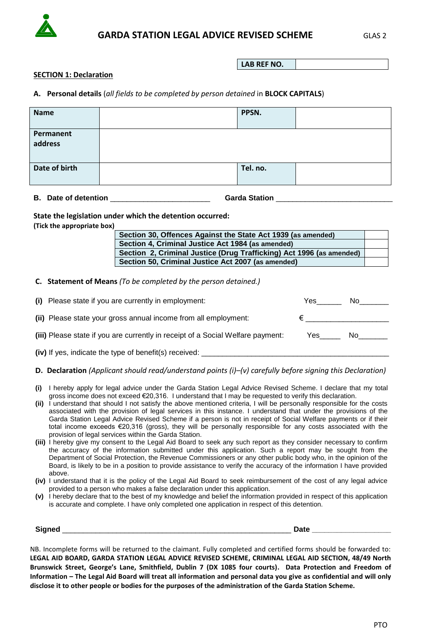

# **GARDA STATION LEGAL ADVICE REVISED SCHEME** GLAS 2

## **SECTION 1: Declaration**

**LAB REF NO.**

# **A. Personal details** (*all fields to be completed by person detained* in **BLOCK CAPITALS**)

| <b>Name</b>          | PPSN.    |  |
|----------------------|----------|--|
| Permanent<br>address |          |  |
| Date of birth        | Tel. no. |  |

**B. Date of detention** \_\_\_\_\_\_\_\_\_\_\_\_\_\_\_\_\_\_\_\_\_\_\_\_ **Garda Station** \_\_\_\_\_\_\_\_\_\_\_\_\_\_\_\_\_\_\_\_\_\_\_\_\_\_\_\_

### **State the legislation under which the detention occurred:**

**(Tick the appropriate box)** 

| Section 30, Offences Against the State Act 1939 (as amended)         |  |
|----------------------------------------------------------------------|--|
| Section 4, Criminal Justice Act 1984 (as amended)                    |  |
| Section 2, Criminal Justice (Drug Trafficking) Act 1996 (as amended) |  |
| Section 50, Criminal Justice Act 2007 (as amended)                   |  |

#### **C. Statement of Means** *(To be completed by the person detained.)*

| (i) Please state if you are currently in employment:                            | Yes<br>No. |  |
|---------------------------------------------------------------------------------|------------|--|
| (ii) Please state your gross annual income from all employment:                 |            |  |
| (iii) Please state if you are currently in receipt of a Social Welfare payment: | Yes<br>No. |  |
| (iv) If yes, indicate the type of benefit(s) received:                          |            |  |

**D. Declaration** *(Applicant should read/understand points (i)–(v) carefully before signing this Declaration)*

- **(i)** I hereby apply for legal advice under the Garda Station Legal Advice Revised Scheme. I declare that my total gross income does not exceed €20,316. I understand that I may be requested to verify this declaration.
- **(ii)** I understand that should I not satisfy the above mentioned criteria, I will be personally responsible for the costs associated with the provision of legal services in this instance. I understand that under the provisions of the Garda Station Legal Advice Revised Scheme if a person is not in receipt of Social Welfare payments or if their total income exceeds €20,316 (gross), they will be personally responsible for any costs associated with the provision of legal services within the Garda Station.
- **(iii)** I hereby give my consent to the Legal Aid Board to seek any such report as they consider necessary to confirm the accuracy of the information submitted under this application. Such a report may be sought from the Department of Social Protection, the Revenue Commissioners or any other public body who, in the opinion of the Board, is likely to be in a position to provide assistance to verify the accuracy of the information I have provided above.
- **(iv)** I understand that it is the policy of the Legal Aid Board to seek reimbursement of the cost of any legal advice provided to a person who makes a false declaration under this application.
- **(v)** I hereby declare that to the best of my knowledge and belief the information provided in respect of this application is accurate and complete. I have only completed one application in respect of this detention.

| $\sim$ $\sim$ $\sim$ | $\sim$ |
|----------------------|--------|
| ◥.                   | - 200  |
| ------               | --     |
| --                   |        |
|                      |        |

NB. Incomplete forms will be returned to the claimant. Fully completed and certified forms should be forwarded to: **LEGAL AID BOARD, GARDA STATION LEGAL ADVICE REVISED SCHEME, CRIMINAL LEGAL AID SECTION, 48/49 North Brunswick Street, George's Lane, Smithfield, Dublin 7 (DX 1085 four courts). Data Protection and Freedom of Information – The Legal Aid Board will treat all information and personal data you give as confidential and will only disclose it to other people or bodies for the purposes of the administration of the Garda Station Scheme.**